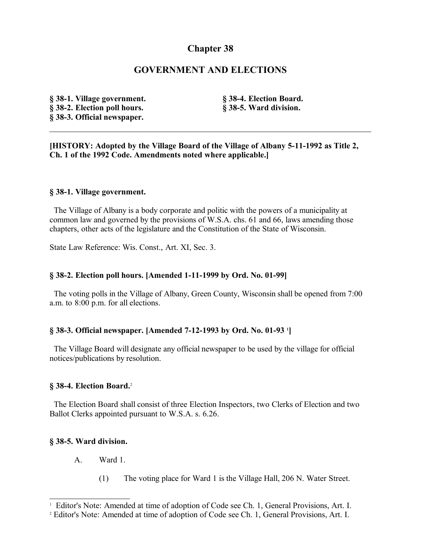# **Chapter 38**

# **GOVERNMENT AND ELECTIONS**

**§ 38-1. Village government. § 38-2. Election poll hours. § 38-3. Official newspaper.**

**§ 38-4. Election Board. § 38-5. Ward division.**

**[HISTORY: Adopted by the Village Board of the Village of Albany 5-11-1992 as Title 2, Ch. 1 of the 1992 Code. Amendments noted where applicable.]**

#### **§ 38-1. Village government.**

 The Village of Albany is a body corporate and politic with the powers of a municipality at common law and governed by the provisions of W.S.A. chs. 61 and 66, laws amending those chapters, other acts of the legislature and the Constitution of the State of Wisconsin.

State Law Reference: Wis. Const., Art. XI, Sec. 3.

### **§ 38-2. Election poll hours. [Amended 1-11-1999 by Ord. No. 01-99]**

 The voting polls in the Village of Albany, Green County, Wisconsin shall be opened from 7:00 a.m. to 8:00 p.m. for all elections.

### **§ 38-3. Official newspaper. [Amended 7-12-1993 by Ord. No. 01-93 [1](#page-0-0) ]**

 The Village Board will designate any official newspaper to be used by the village for official notices/publications by resolution.

#### **§ 38-4. Election Board.**[2](#page-0-1)

 The Election Board shall consist of three Election Inspectors, two Clerks of Election and two Ballot Clerks appointed pursuant to W.S.A. s. 6.26.

### **§ 38-5. Ward division.**

- A. Ward 1.
	- (1) The voting place for Ward 1 is the Village Hall, 206 N. Water Street.

<span id="page-0-0"></span><sup>&</sup>lt;sup>1</sup> Editor's Note: Amended at time of adoption of Code see Ch. 1, General Provisions, Art. I.

<span id="page-0-1"></span><sup>&</sup>lt;sup>2</sup> Editor's Note: Amended at time of adoption of Code see Ch. 1, General Provisions, Art. I.